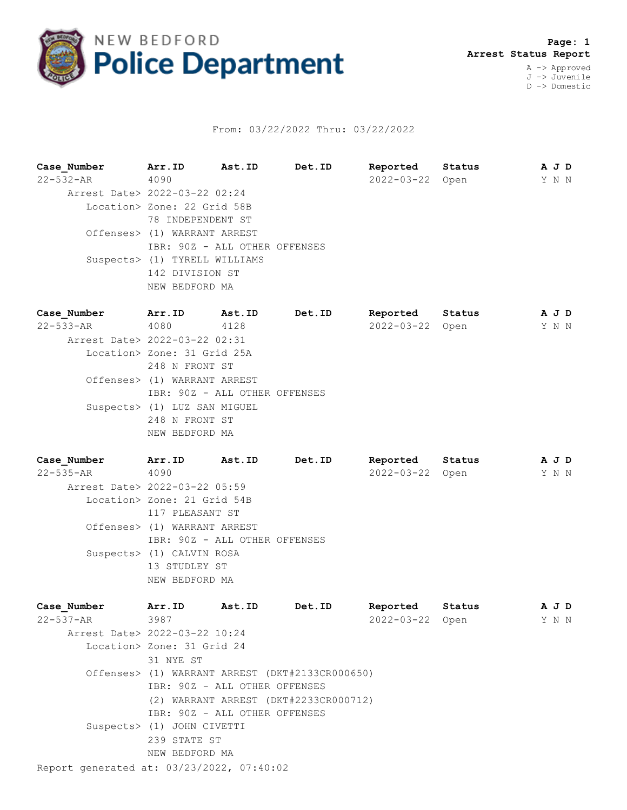

## From: 03/22/2022 Thru: 03/22/2022

**Case\_Number Arr.ID Ast.ID Det.ID Reported Status A J D** 22-532-AR 4090 2022-03-22 Open Y N N Arrest Date> 2022-03-22 02:24 Location> Zone: 22 Grid 58B 78 INDEPENDENT ST Offenses> (1) WARRANT ARREST IBR: 90Z - ALL OTHER OFFENSES Suspects> (1) TYRELL WILLIAMS 142 DIVISION ST NEW BEDFORD MA **Case\_Number Arr.ID Ast.ID Det.ID Reported Status A J D** 22-533-AR 4080 4128 2022-03-22 Open Y N N Arrest Date> 2022-03-22 02:31 Location> Zone: 31 Grid 25A 248 N FRONT ST Offenses> (1) WARRANT ARREST IBR: 90Z - ALL OTHER OFFENSES Suspects> (1) LUZ SAN MIGUEL 248 N FRONT ST NEW BEDFORD MA

**Case\_Number Arr.ID Ast.ID Det.ID Reported Status A J D** 22-535-AR 4090 2022-03-22 Open Y N N Arrest Date> 2022-03-22 05:59 Location> Zone: 21 Grid 54B 117 PLEASANT ST Offenses> (1) WARRANT ARREST IBR: 90Z - ALL OTHER OFFENSES Suspects> (1) CALVIN ROSA 13 STUDLEY ST NEW BEDFORD MA

| Case Number                               | Arr.ID                                          | Ast.ID | Det.ID                                | Reported   | Status | A J D |  |  |  |  |  |
|-------------------------------------------|-------------------------------------------------|--------|---------------------------------------|------------|--------|-------|--|--|--|--|--|
| 22-537-AR                                 | 3987                                            |        |                                       | 2022-03-22 | Open   | Y N N |  |  |  |  |  |
| Arrest Date> 2022-03-22 10:24             |                                                 |        |                                       |            |        |       |  |  |  |  |  |
|                                           | Location> Zone: 31 Grid 24                      |        |                                       |            |        |       |  |  |  |  |  |
|                                           | 31 NYE ST                                       |        |                                       |            |        |       |  |  |  |  |  |
|                                           | Offenses> (1) WARRANT ARREST (DKT#2133CR000650) |        |                                       |            |        |       |  |  |  |  |  |
|                                           | IBR: 90Z - ALL OTHER OFFENSES                   |        |                                       |            |        |       |  |  |  |  |  |
|                                           |                                                 |        | (2) WARRANT ARREST (DKT#2233CR000712) |            |        |       |  |  |  |  |  |
|                                           | IBR: 90Z - ALL OTHER OFFENSES                   |        |                                       |            |        |       |  |  |  |  |  |
|                                           | Suspects> (1) JOHN CIVETTI                      |        |                                       |            |        |       |  |  |  |  |  |
|                                           | 239 STATE ST                                    |        |                                       |            |        |       |  |  |  |  |  |
|                                           | NEW BEDFORD MA                                  |        |                                       |            |        |       |  |  |  |  |  |
| Report generated at: 03/23/2022, 07:40:02 |                                                 |        |                                       |            |        |       |  |  |  |  |  |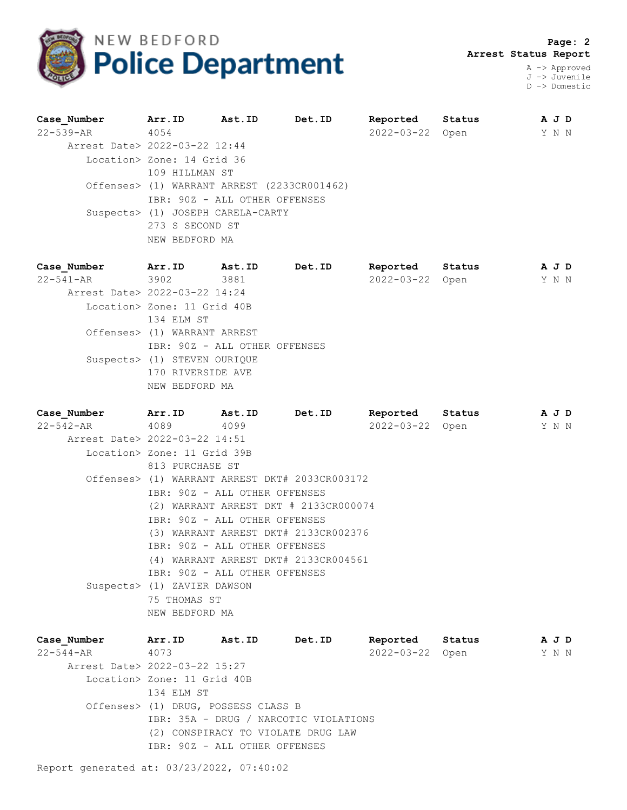

 **Page: 2 Arrest Status Report**

A -> Approved J -> Juvenile D -> Domestic

| Case Number                   | Arr.ID                                      | Ast.ID | Det.ID | Reported   | Status | A J D |
|-------------------------------|---------------------------------------------|--------|--------|------------|--------|-------|
| 22-539-AR                     | 4054                                        |        |        | 2022-03-22 | Open   | Y N N |
| Arrest Date> 2022-03-22 12:44 |                                             |        |        |            |        |       |
|                               | Location> Zone: 14 Grid 36                  |        |        |            |        |       |
|                               | 109 HILLMAN ST                              |        |        |            |        |       |
|                               | Offenses> (1) WARRANT ARREST (2233CR001462) |        |        |            |        |       |
|                               | IBR: 90Z - ALL OTHER OFFENSES               |        |        |            |        |       |
|                               | Suspects> (1) JOSEPH CARELA-CARTY           |        |        |            |        |       |
|                               | 273 S SECOND ST                             |        |        |            |        |       |
|                               | NEW BEDFORD MA                              |        |        |            |        |       |
|                               |                                             |        |        |            |        |       |

| Case Number                   | Arr.ID                        | Ast.ID | Det.ID | Reported         | Status | A J D |  |
|-------------------------------|-------------------------------|--------|--------|------------------|--------|-------|--|
| 22-541-AR 3902                |                               | 3881   |        | $2022 - 03 - 22$ | Open   | YNN   |  |
| Arrest Date> 2022-03-22 14:24 |                               |        |        |                  |        |       |  |
|                               | Location> Zone: 11 Grid 40B   |        |        |                  |        |       |  |
|                               | 134 ELM ST                    |        |        |                  |        |       |  |
|                               | Offenses> (1) WARRANT ARREST  |        |        |                  |        |       |  |
|                               | IBR: 90Z - ALL OTHER OFFENSES |        |        |                  |        |       |  |
|                               | Suspects> (1) STEVEN OURIQUE  |        |        |                  |        |       |  |
|                               | 170 RIVERSIDE AVE             |        |        |                  |        |       |  |
|                               | NEW BEDFORD MA                |        |        |                  |        |       |  |
|                               |                               |        |        |                  |        |       |  |

| Case Number                   | Arr.ID                                         | <b>Ast.ID</b>                         | Det.ID                               | Reported Status |  | A J D |  |  |
|-------------------------------|------------------------------------------------|---------------------------------------|--------------------------------------|-----------------|--|-------|--|--|
| 22-542-AR                     | 4089                                           | 4099                                  |                                      | 2022-03-22 Open |  | Y N N |  |  |
| Arrest Date> 2022-03-22 14:51 |                                                |                                       |                                      |                 |  |       |  |  |
|                               | Location> Zone: 11 Grid 39B                    |                                       |                                      |                 |  |       |  |  |
|                               | 813 PURCHASE ST                                |                                       |                                      |                 |  |       |  |  |
|                               | Offenses> (1) WARRANT ARREST DKT# 2033CR003172 |                                       |                                      |                 |  |       |  |  |
|                               |                                                | IBR: 90Z - ALL OTHER OFFENSES         |                                      |                 |  |       |  |  |
|                               |                                                | (2) WARRANT ARREST DKT # 2133CR000074 |                                      |                 |  |       |  |  |
|                               |                                                | IBR: 90Z - ALL OTHER OFFENSES         |                                      |                 |  |       |  |  |
|                               |                                                | (3) WARRANT ARREST DKT# 2133CR002376  |                                      |                 |  |       |  |  |
|                               |                                                | IBR: 90Z - ALL OTHER OFFENSES         |                                      |                 |  |       |  |  |
|                               |                                                |                                       | (4) WARRANT ARREST DKT# 2133CR004561 |                 |  |       |  |  |
|                               |                                                | IBR: 90Z - ALL OTHER OFFENSES         |                                      |                 |  |       |  |  |
|                               | Suspects> (1) ZAVIER DAWSON                    |                                       |                                      |                 |  |       |  |  |
|                               | 75 THOMAS ST                                   |                                       |                                      |                 |  |       |  |  |
|                               | NEW BEDFORD MA                                 |                                       |                                      |                 |  |       |  |  |
|                               |                                                |                                       |                                      |                 |  |       |  |  |

| Case Number                   | Arr.ID                              | <b>Ast.ID</b>                      | Det.ID                                | Reported        | Status | A J D |  |
|-------------------------------|-------------------------------------|------------------------------------|---------------------------------------|-----------------|--------|-------|--|
| $22 - 544 - AR$               | 4073                                |                                    |                                       | 2022-03-22 Open |        | Y N N |  |
| Arrest Date> 2022-03-22 15:27 |                                     |                                    |                                       |                 |        |       |  |
|                               | Location> Zone: 11 Grid 40B         |                                    |                                       |                 |        |       |  |
|                               | 134 ELM ST                          |                                    |                                       |                 |        |       |  |
|                               | Offenses> (1) DRUG, POSSESS CLASS B |                                    |                                       |                 |        |       |  |
|                               |                                     |                                    | IBR: 35A - DRUG / NARCOTIC VIOLATIONS |                 |        |       |  |
|                               |                                     | (2) CONSPIRACY TO VIOLATE DRUG LAW |                                       |                 |        |       |  |
|                               |                                     | IBR: 90Z - ALL OTHER OFFENSES      |                                       |                 |        |       |  |
|                               |                                     |                                    |                                       |                 |        |       |  |